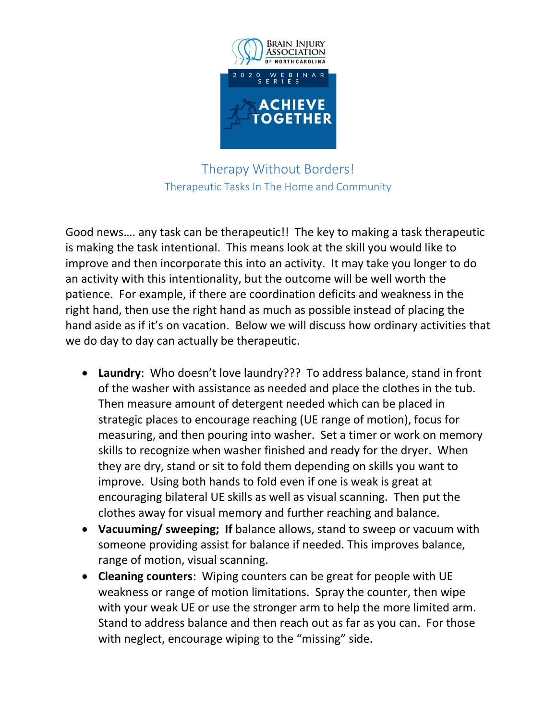

Therapy Without Borders! Therapeutic Tasks In The Home and Community

Good news…. any task can be therapeutic!! The key to making a task therapeutic is making the task intentional. This means look at the skill you would like to improve and then incorporate this into an activity. It may take you longer to do an activity with this intentionality, but the outcome will be well worth the patience. For example, if there are coordination deficits and weakness in the right hand, then use the right hand as much as possible instead of placing the hand aside as if it's on vacation. Below we will discuss how ordinary activities that we do day to day can actually be therapeutic.

- Laundry: Who doesn't love laundry??? To address balance, stand in front of the washer with assistance as needed and place the clothes in the tub. Then measure amount of detergent needed which can be placed in strategic places to encourage reaching (UE range of motion), focus for measuring, and then pouring into washer. Set a timer or work on memory skills to recognize when washer finished and ready for the dryer. When they are dry, stand or sit to fold them depending on skills you want to improve. Using both hands to fold even if one is weak is great at encouraging bilateral UE skills as well as visual scanning. Then put the clothes away for visual memory and further reaching and balance.
- Vacuuming/ sweeping; If balance allows, stand to sweep or vacuum with someone providing assist for balance if needed. This improves balance, range of motion, visual scanning.
- Cleaning counters: Wiping counters can be great for people with UE weakness or range of motion limitations. Spray the counter, then wipe with your weak UE or use the stronger arm to help the more limited arm. Stand to address balance and then reach out as far as you can. For those with neglect, encourage wiping to the "missing" side.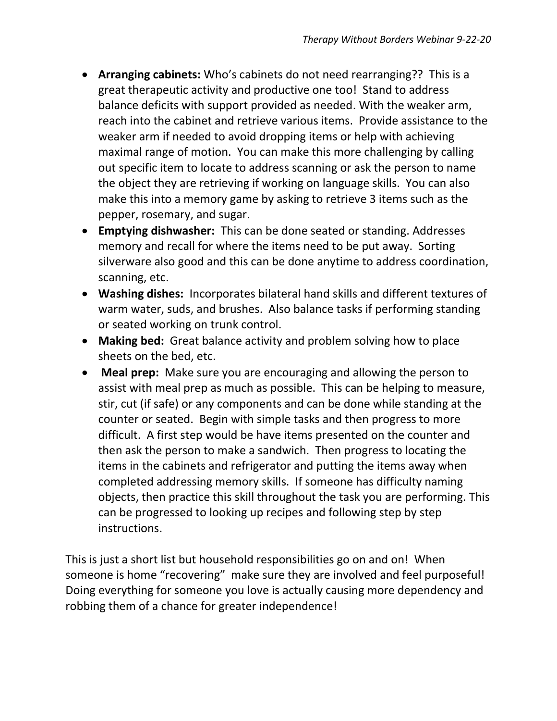- Arranging cabinets: Who's cabinets do not need rearranging?? This is a great therapeutic activity and productive one too! Stand to address balance deficits with support provided as needed. With the weaker arm, reach into the cabinet and retrieve various items. Provide assistance to the weaker arm if needed to avoid dropping items or help with achieving maximal range of motion. You can make this more challenging by calling out specific item to locate to address scanning or ask the person to name the object they are retrieving if working on language skills. You can also make this into a memory game by asking to retrieve 3 items such as the pepper, rosemary, and sugar.
- Emptying dishwasher: This can be done seated or standing. Addresses memory and recall for where the items need to be put away. Sorting silverware also good and this can be done anytime to address coordination, scanning, etc.
- Washing dishes: Incorporates bilateral hand skills and different textures of warm water, suds, and brushes. Also balance tasks if performing standing or seated working on trunk control.
- Making bed: Great balance activity and problem solving how to place sheets on the bed, etc.
- Meal prep: Make sure you are encouraging and allowing the person to assist with meal prep as much as possible. This can be helping to measure, stir, cut (if safe) or any components and can be done while standing at the counter or seated. Begin with simple tasks and then progress to more difficult. A first step would be have items presented on the counter and then ask the person to make a sandwich. Then progress to locating the items in the cabinets and refrigerator and putting the items away when completed addressing memory skills. If someone has difficulty naming objects, then practice this skill throughout the task you are performing. This can be progressed to looking up recipes and following step by step instructions.

This is just a short list but household responsibilities go on and on! When someone is home "recovering" make sure they are involved and feel purposeful! Doing everything for someone you love is actually causing more dependency and robbing them of a chance for greater independence!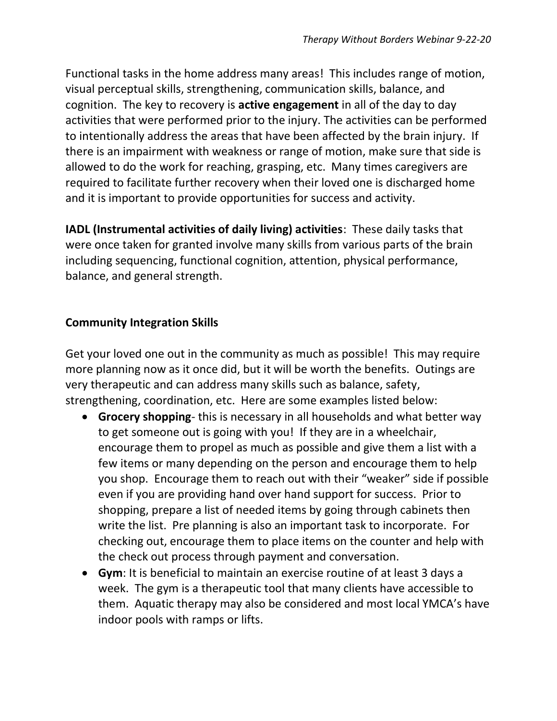Functional tasks in the home address many areas! This includes range of motion, visual perceptual skills, strengthening, communication skills, balance, and cognition. The key to recovery is active engagement in all of the day to day activities that were performed prior to the injury. The activities can be performed to intentionally address the areas that have been affected by the brain injury. If there is an impairment with weakness or range of motion, make sure that side is allowed to do the work for reaching, grasping, etc. Many times caregivers are required to facilitate further recovery when their loved one is discharged home and it is important to provide opportunities for success and activity.

IADL (Instrumental activities of daily living) activities: These daily tasks that were once taken for granted involve many skills from various parts of the brain including sequencing, functional cognition, attention, physical performance, balance, and general strength.

## Community Integration Skills

Get your loved one out in the community as much as possible! This may require more planning now as it once did, but it will be worth the benefits. Outings are very therapeutic and can address many skills such as balance, safety, strengthening, coordination, etc. Here are some examples listed below:

- **Grocery shopping-** this is necessary in all households and what better way to get someone out is going with you! If they are in a wheelchair, encourage them to propel as much as possible and give them a list with a few items or many depending on the person and encourage them to help you shop. Encourage them to reach out with their "weaker" side if possible even if you are providing hand over hand support for success. Prior to shopping, prepare a list of needed items by going through cabinets then write the list. Pre planning is also an important task to incorporate. For checking out, encourage them to place items on the counter and help with the check out process through payment and conversation.
- Gym: It is beneficial to maintain an exercise routine of at least 3 days a week. The gym is a therapeutic tool that many clients have accessible to them. Aquatic therapy may also be considered and most local YMCA's have indoor pools with ramps or lifts.